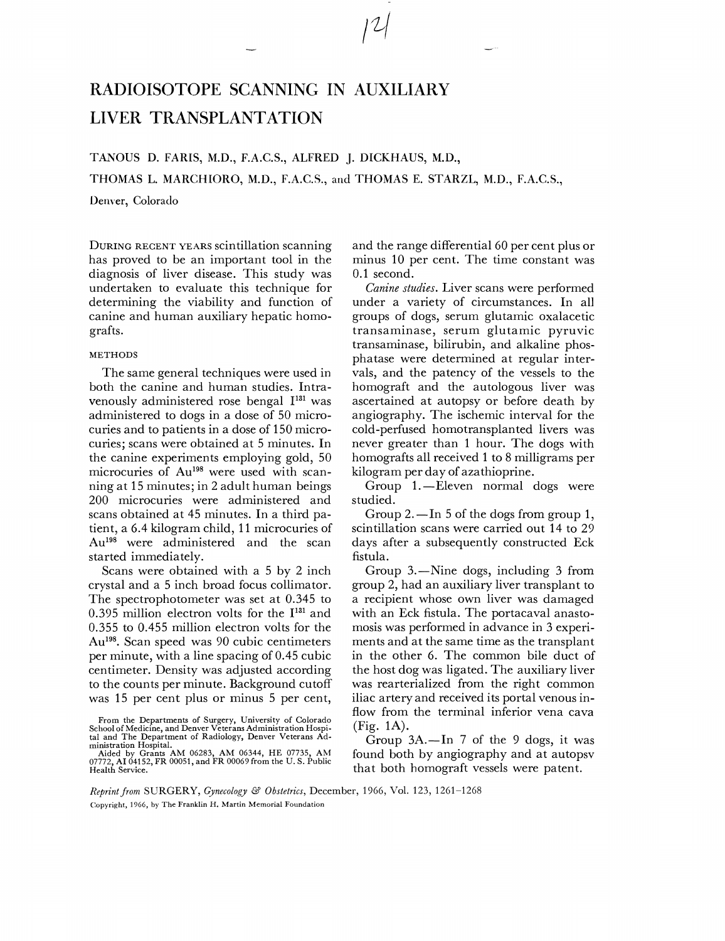# RADIOISOTOPE SCANNING IN AUXILIAKY LIVER TRANSPLANTATION

TANOUS D. FARIS, M.D., F.A.C.S., ALFRED J. DICKHAUS, **M.D.,** 

THOMAS L. MARCHIORO, M.D., F.A.C.S., and THOMAS E. STARZL, M.D., F.A.C.S.,

Denver, Colorado

DURING RECENT YEARS scintillation scanning has proved to be an important tool in the diagnosis of liver disease. This study was undertaken to evaluate this technique for determining the viability and function of canine and human auxiliary hepatic homografts.

### METHODS

The same general techniques were used in both the canine and human studies. Intravenously administered rose bengal  $I<sup>131</sup>$  was administered to dogs in a dose of 50 microcuries and to patients in a dose of 150 microcuries; scans were obtained at 5 minutes. In the canine experiments employing gold, 50 microcuries of Au<sup>198</sup> were used with scanning at 15 minutes; in 2 adult human beings 200 microcuries were administered and scans obtained at 45 minutes. In a third patient, a 6.4 kilogram child, 11 microcuries of Au<sup>198</sup> were administered and the scan started immediately.

Scans were obtained with a 5 by 2 inch crystal and a 5 inch broad focus collimator. The spectrophotometer was set at 0.345 to 0.395 million electron volts for the  $I^{131}$  and 0.355 to 0.455 million electron volts for the Au<sup>198</sup>. Scan speed was 90 cubic centimeters per minute, with a line spacing of 0.45 cubic centimeter. Density was adjusted according to the counts per minute. Background cutoff was 15 per cent plus or minus 5 per cent,

From the Departments of Surgery, University of Colorado<br>School of Medicine, and Denver Veterans Administration Hospital<br>tal and The Department of Radiology, Denver Veterans Administration Hospital.

and the range differential 60 per cent plus or minus 10 per cent. The time constant was 0.1 second.

Canine studies. Liver scans were performed under a variety of circumstances. In all groups of dogs, serum glutamic oxalacetic transaminase, serum glutamic pyruvic transaminase, bilirubin, and alkaline phosphatase were determined at regular intervals, and the patency of the vessels to the homograft and the autologous liver was ascertained at autopsy or before death by angiography. The ischemic interval for the cold-perfused homotransplanted livers was never greater than 1 hour. The dogs with homografts all received 1 to 8 milligrams per kilogram per day of azathioprine.

Group 1.—Eleven normal dogs were studied.

Group 2.  $\text{In } 5$  of the dogs from group 1, scintillation scans were carried out 14 to 29 days after a subsequently constructed Eck fistula.

Group 3.—Nine dogs, including 3 from group 2, had an auxiliary liver transplant to a recipient whose own liver was damaged with an Eck fistula. The portacaval anastomosis was performed in advance in 3 experiments and at the same time as the transplant in the other 6. The common bile duct of the host dog was ligated. The auxiliary liver was rearterialized from the right common iliac artery and received its portal venous inflow from the terminal inferior vena cava (Fig. 1A).

Group  $3A$ .-In 7 of the 9 dogs, it was found both by angiography and at autopsv that both homograft vessels were patent.

*Reprint from SURGERY, Gynecology* & *Obstetrics,* December, 1966, Vol. 123, 1261-1268 Copyright, 1966, by The Franklin **11.** Martin Memorial Foundation

Aided by Grants AM 06283, AM 06344, HE 07735, AM 07772. **A1** 01152, FR 00051, and FR 00069 from the U. S. Public Health Service.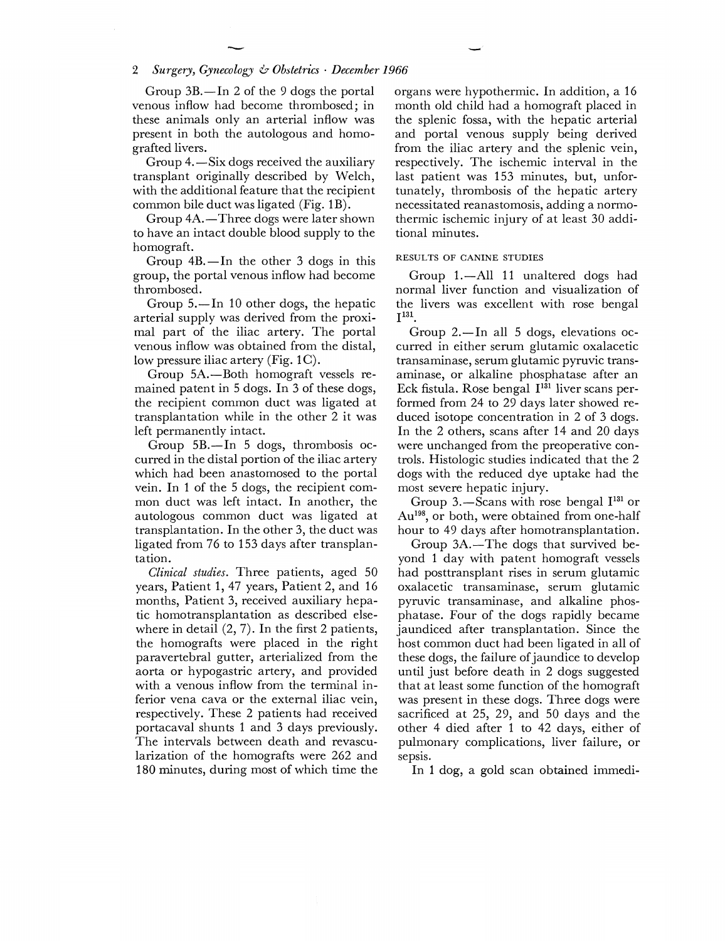Group  $3B$ .-In 2 of the 9 dogs the portal venous inflow had become thrombosed; in these animals only an arterial inflow was present in both the autologous and homografted livers.

Group 4. - Six dogs received the auxiliary transplant originally described by Welch, with the additional feature that the recipient common bile duct was ligated (Fig. 1B).

Group 4A.-Three dogs were later shown to have an intact double blood supply to the homograft.

Group  $4B$ .-In the other 3 dogs in this group, the portal venous inflow had become thrombosed.

Group  $5.$ —In 10 other dogs, the hepatic arterial supply was derived from the proximal part of the iliac artery. The portal venous inflow was obtained from the distal, low pressure iliac artery  $(Fig. 1C)$ .

Group 5A.-Both homograft vessels remained patent in 5 dogs. In 3 of these dogs, the recipient common duct was ligated at transplantation while in the other 2 it was left permanently intact.

Group  $5B$ .-In 5 dogs, thrombosis occurred in the distal portion of the iliac artery which had been anastomosed to the portal vein. In 1 of the 5 dogs, the recipient common duct was left intact. In another, the autologous common duct was ligated at transplantation. In the other 3, the duct was ligated from 76 to 153 days after transplantation.

**Clinical** studies. Three patients, aged 50 years, Patient 1, 47 years, Patient 2, and 16 months, Patient **3,** received auxiliary hepatic hornotransplantation as described elsewhere in detail  $(2, 7)$ . In the first 2 patients, the homografts were placed in the right paravertebral gutter, arterialized from the aorta or hypogastric artery, and provided with a venous inflow from the terminal inferior vena cava or the external iliac vein, respectively. These 2 patients had received portacaval shunts 1 and 3 days previously. The intervals between death and revascularization of the homografts were 262 and 180 minutes, during most of which time the organs were hypothermic. In addition, a 16 month old child had a homograft placed in the splenic fossa, with the hepatic arterial and portal venous supply being derived from the iliac artery and the splenic vein, respectively. The ischemic interval in the last patient was 153 minutes, but, unfortunately, thrombosis of the hepatic artery necessitated reanastomosis, adding a normothermic ischemic injury of at least 30 additional minutes.

#### RESULTS OF CANINE STUDIES

Group 1.-All 11 unaltered dogs had normal liver function and visualization of the livers was excellent with rose bengal  $I^{131}$ 

Group  $2$ —In all 5 dogs, elevations occurred in either serum glutamic oxalacetic transaminase, serum glutamic pyruvic transaminase, or alkaline phosphatase after an Eck fistula. Rose bengal  $I^{131}$  liver scans performed from 24 to 29 days later showed reduced isotope concentration in 2 of 3 dogs. In the 2 others, scans after 14 and 20 days were unchanged from the preoperative controls. Histologic studies indicated that the 2 dogs with the reduced dye uptake had the most severe hepatic injury.

Group 3.—Scans with rose bengal  $I^{131}$  or Au<sup>198</sup>, or both, were obtained from one-half hour to 49 days after homotransplantation.

Group 3A.-The dogs that survived beyond 1 day with patent homograft vessels had posttransplant rises in serum glutamic oxalacetic transaminase, serum glutamic pyruvic transaminase, and alkaline phosphatase. Four of the dogs rapidly became jaundiced after transplantation. Since the host common duct had been ligated in all of these dogs, the failure of jaundice to develop until just before death in 2 dogs suggested that at least some function of the homograft was present in these dogs. Three dogs were sacrificed at 25, 29, and 50 days and the other 4 died after 1 to 42 days, either of pulmonary complications, liver failure, or sepsis.

In 1 dog, a gold scan obtained immedi-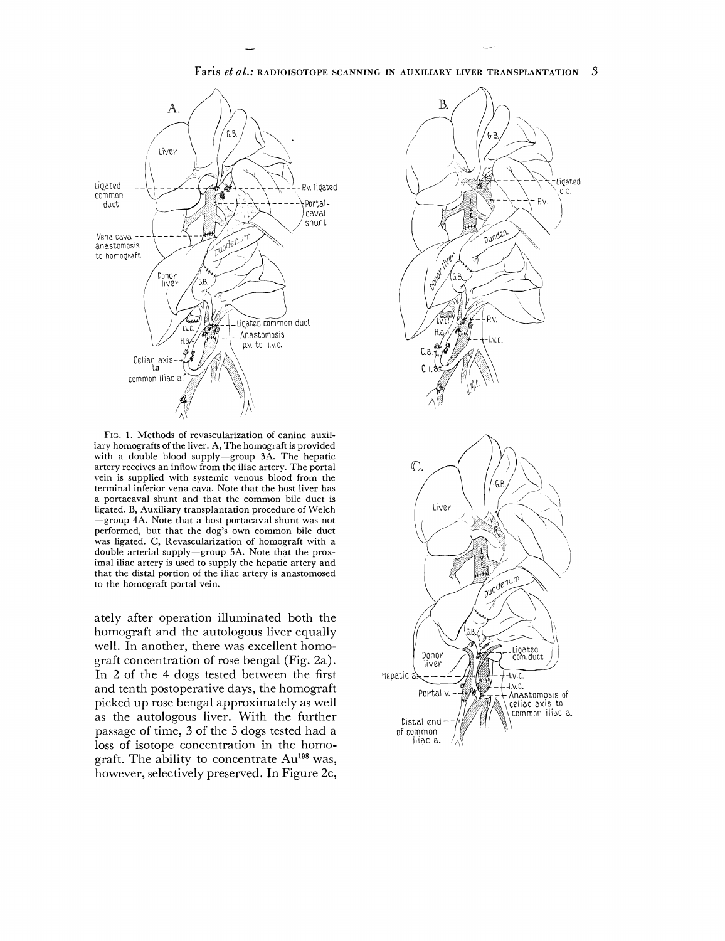

Faris *et al.:* RADIOISOTOPE SCANNING IN AUXILIARY LIVER TRANSPLANTATION **3** 

FIG. 1. Methods of revascularization of canine auxiliary homografts of the liver. A, The homograft is provided with a double blood supply-group 3A. The hepatic artery receives an inflow from the iliac artery. The portal vein is supplied with systemic venous blood from the terminal inferior vena cava. Note that the host liver has a portacaval shunt and that the common bile duct is ligated. B, Auxiliary transplantation procedure of Welch -group **4A.** Note that a host portacaval shunt was not performed, but that the dog's own common bile duct was ligated. C, Revascularization of homograft with a double arterial supply-group **5A.** Note that the proximal iliac artery is used to supply the hepatic artery and that the distal portion of the iliac artery is anastomosed to the homograft portal vein.

ately after operation illuminated both the homograft and the autologous liver equally well. In another, there was excellent homograft concentration of rose bengal (Fig. 2a). In 2 of the 4 dogs tested between the first and tenth postoperative days, the homograft picked up rose bengal approximately as well as the autologous liver. With the further passage of time, **3** of the 5 dogs tested had a loss of isotope concentration in the homograft. The ability to concentrate Au<sup>198</sup> was, however, selectively preserved. In Figure 2c,

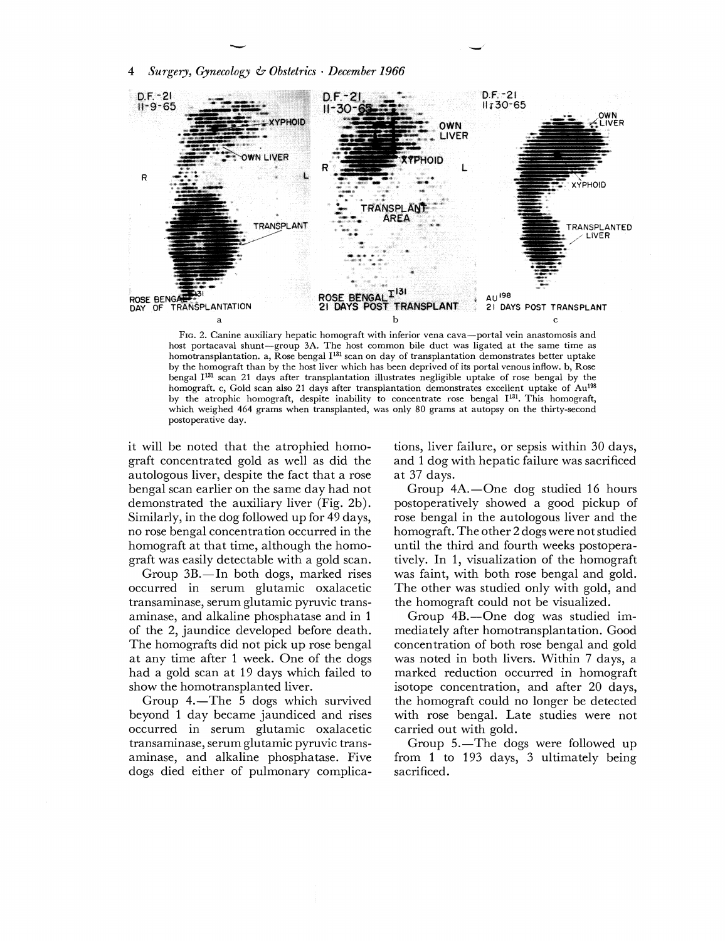

FIG. 2. Canine auxiliary hepatic homograft with inferior vena cava-portal vein anastomosis and host portacaval shunt-group **3A.** The host common bile duct was ligated at the same time as homotransplantation. a, Rose bengal I<sup>131</sup> scan on day of transplantation demonstrates better uptake by the homograft than by the host liver which has been deprived of its portal venous inflow. b, Rose bengal 1131 scan 21 days after transplantation illustrates negligible uptake of rose bengal by the homograft. c, Gold scan also 21 days after transplantation demonstrates excellent uptake of Au<sup>198</sup> by the atrophic homograft, despite inability to concentrate rose bengal I<sup>131</sup>. This homograft, which weighed 464 grams when transplanted, was only 80 grams at autopsy on the thirty-second postoperative day.

it will be noted that the atrophied homograft concentrated gold as well as did the autologous liver, despite the fact that a rose bengal scan earlier on the same day had not demonstrated the auxiliary liver (Fig. 2b). Similarly, in the dog followed up for 49 days, no rose bengal concentration occurred in the homograft at that time, although the homograft was easily detectable with a gold scan.

Group 3B.-In both dogs, marked rises occurred in serum glutamic oxalacetic transaminase, serum glutamic pyruvic transaminasc, and alkaline phosphatase and in 1 of the 2, jaundice developed before death. The homografts did not pick up rose bengal at any time after 1 week. One of the dogs had a gold scan at 19 days which failed to show the homotransplanted liver.

Group  $4.$ —The 5 dogs which survived beyond 1 day became jaundiced and rises occurred in serum glutamic oxalacetic transaminase, serum glutamic pyruvic transaminase, and alkaline phosphatase. Five dogs died either of pulmonary complications, liver failure, or sepsis within 30 days, and 1 dog with hepatic failure was sacrificed at 37 days.

Group 4A.-One dog studied 16 hours postoperatively showed a good pickup of rose bengal in the autologous liver and the homograft. The other 2 dogs were not studied until the third and fourth weeks postoperatively. In 1, visualization of the homograft was faint, with both rose bengal and gold. The other was studied only with gold, and the homograft could not be visualized.

Group 4B.-One dog was studied immediately after homotransplantation. Good concentration of both rose bengal and gold was noted in both livers. Within 7 days, a marked reduction occurred in homograft isotope concentration, and after 20 days, the homograft could no longer be detected with rose bengal. Late studies were not carried out with gold.

Group 5.—The dogs were followed up from 1 to 193 days, 3 ultimately being sacrificed.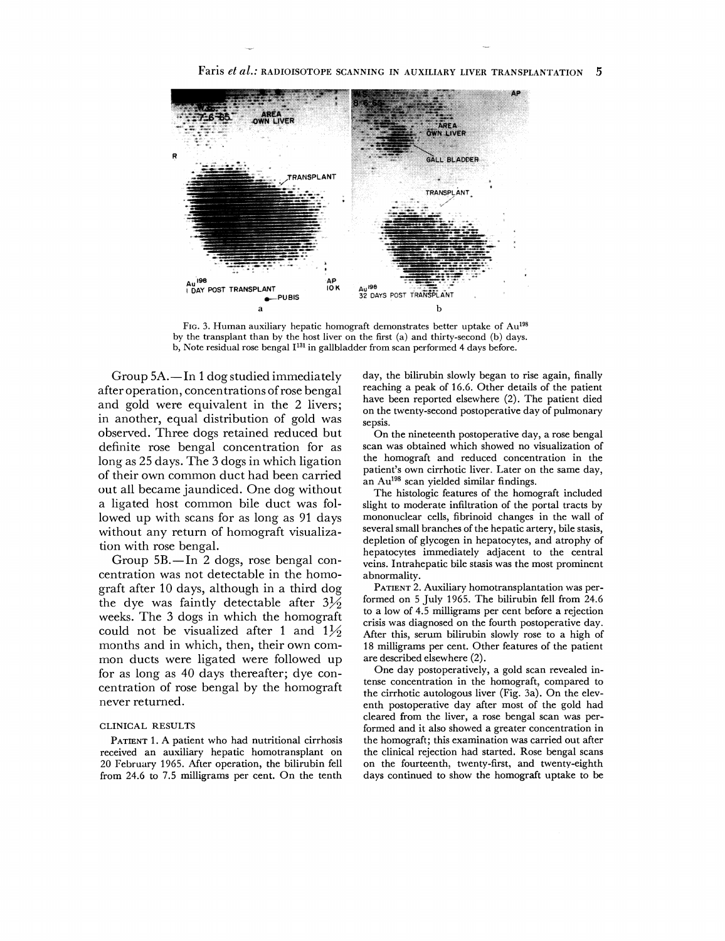

Faris *et al.:* RADIOISOTOPE SCANNING IN AUXILIARY LIVER TRANSPLANTATION **5** 

FIG. 3. Human auxiliary hepatic homograft demonstrates better uptake of Au<sup>198</sup> by the transplant than by the host liver on the first (a) and thirty-second (b) days. b, Note residual rose bengal 1131 in gallbladder from scan performed **4** days before.

Group  $5A$ . - In 1 dog studied immediately after operation, concentrations of rose bengal and gold were equivalent in the 2 livers; in another, equal distribution of gold was observed. Three dogs retained reduced but definite rose bengal concentration for as long as 25 days. The **3** dogs in which ligation of their own common duct had been carried out all became jaundiced. One dog without a ligated host common bile duct was followed up with scans for as long as 91 days without any return of homograft visualization with rose bengal.

Group 5B.-In 2 dogs, rose bengal concentration was not detectable in the homograft after 10 days, although in a third dog the dye was faintly detectable after  $3\frac{1}{2}$ weeks. The **3** dogs in which the homograft could not be visualized after 1 and  $1\frac{1}{2}$ months and in which, then, their own common ducts were ligated were followed up for as long as 40 days thereafter; dye concentration of rose bengal by the homograft never returned.

### CLINICAL RESULTS

**PATIENT 1.A** patient who had nutritional cirrhosis received an auxiliary hepatic homotransplant on **20** February **1965.** After operation, the bilirubin fell from **24.6** to 7.5 milligrams per cent. On the tenth

day, the bilirubin slowly began to rise again, finally reaching a peak of **16.6.** Other details of the patient have been reported elsewhere (2). The patient died on the twenty-second postoperative day of pulmonary sepsis.

On the nineteenth postoperative day, a rose bengal scan was obtained which showed no visualization of the homograft and reduced concentration in the patient's own cirrhotic liver. Later on the same day, an  $Au^{198}$  scan yielded similar findings.

The histologic features of the homograft included slight to moderate infiltration of the portal tracts by mononuclear cells, fibrinoid changes in the wall of several small branches of the hepatic artery, bile stasis, depletion of glycogen in hepatocytes, and atrophy of hepatocytes immediately adjacent to the central veins. Intrahepatic bile stasis was the most prominent abnormality.

**PATIENT** 2. Auxiliary homotransplantation was performed on **5** July **1965.** The bilirubin fell from **24.6**  to a low of **4.5** milligrams per cent before a rejection crisis was diagnosed on the fourth postoperative day. After this, serum bilirubin slowly rose to a high of 18 milligrams per cent. Other features of the patient are described elsewhere (2).

One day postoperatively, a gold scan revealed intense concentration in the homograft, compared to the cirrhotic autologous liver (Fig. 3a). On the eleventh postoperative day after most of the gold had cleared from the liver, a rose bengal scan was performed and it also showed **a** greater concentration in the homograft; this examination was carried out after the clinical rejection had started. Rose bengal scans on the fourteenth, twenty-first, and twenty-eighth days continued to show the homograft uptake to be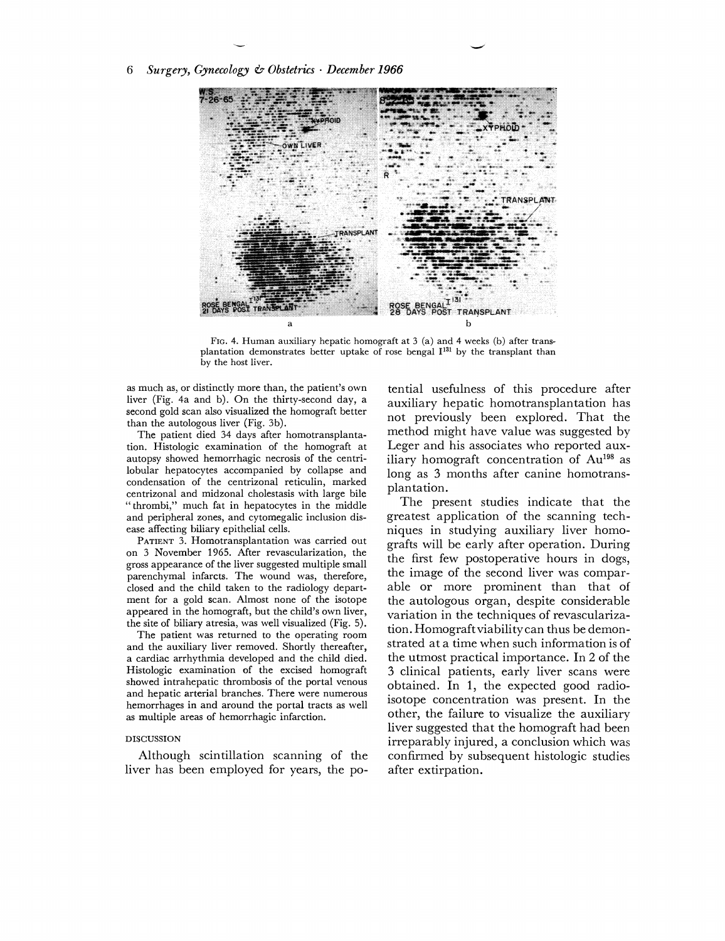6 *Surgery, Gynecology* **Q** *Obstetrics December 1966* 



FIG. 4. Human auxiliary hepatic homograft at **3** (a) and 4 weeks (b) after transplantation demonstrates better uptake of rose bengal **113'** by the transplant than by the host liver.

as much as, or distinctly more than, the patient's own liver (Fig. 4a and b). On the thirty-second day, a second gold scan also visualized the homograft better than the autologous liver (Fig. 3b).

The patient died 34 days after homotransplantation. Histologic examination of the homograft at autopsy showed hemorrhagic necrosis of the centrilobular hepatocytes accompanied by collapse and condensation of the centrizonal reticulin, marked centrizonal and midzonal cholestasis with large bile "thrombi," much fat in hepatocytes in the middle and peripheral zones, and cytomegalic inclusion disease affecting biliary epithelial cells.

PATIENT 3. Homotransplantation was carried out on 3 November 1965. After revascularization, the gross appearance of the liver suggested multiple small parenchymal infarcts. The wound was, therefore, closed and the child taken to the radiology department for a gold scan. Almost none of the isotope appeared in the homograft, but the child's own liver, the site of biliary atresia, was well visualized (Fig. 5).

The patient was returned to the operating room and the auxiliary liver removed. Shortly thereafter, a cardiac arrhythmia developed and the child died. Histologic examination of the excised homograft showed intrahepatic thrombosis of the portal venous and hepatic arterial branches. There were numerous hemorrhages in and around the portal tracts as well as multiple areas of hemorrhagic infarction.

## DISCUSSION

Although scintillation scanning of the liver has been employed for years, the potential usefulness of this procedure after auxiliary hepatic homotransplantation has not previously been explored. That the method might have value was suggested by Leger and his associates who reported auxiliary homograft concentration of  $Au<sup>198</sup>$  as long as **3** months after canine homotransplantation.

The present studies indicate that the greatest application of the scanning techniques in studying auxiliary liver homografts will be early after operation. During the first few postoperative hours in dogs, the image of the second liver was comparable or more prominent than that of the autologous organ, despite considerable variation in the techniques of revascularization. Homograft viability can thus be demonstrated at a time when such information is of the utmost practical importance. In 2 of the **3** clinical patients, early liver scans were obtained. In 1, the expected good radioisotope concentration was present. In the other, the failure to visualize the auxiliary liver suggested that the homograft had been irreparably injured, a conclusion which was confirmed by subsequent histologic studies after extirpation.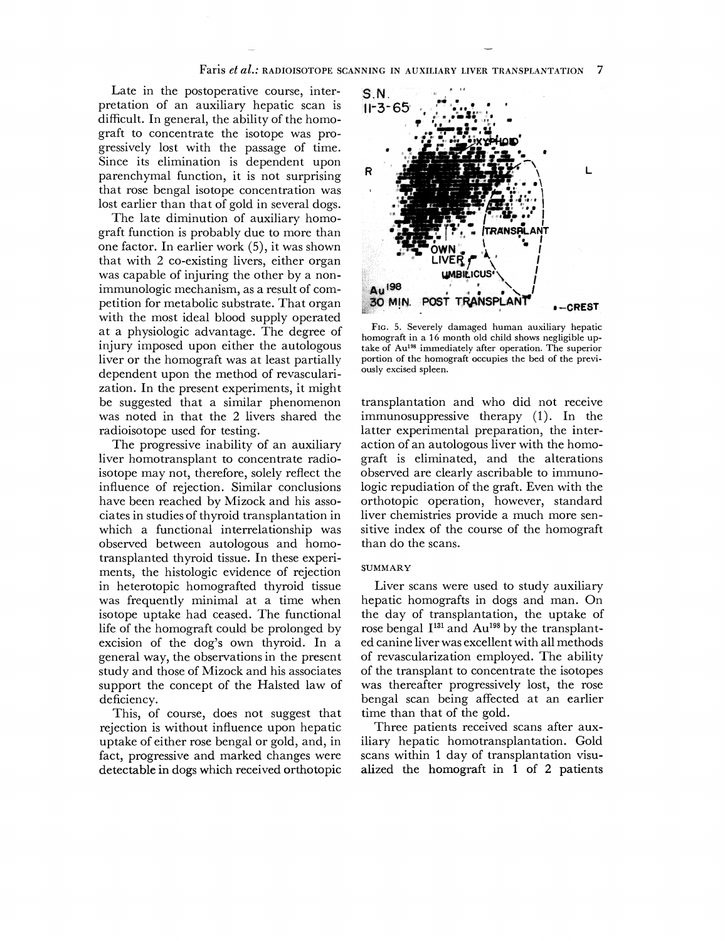Late in the postoperative course, interpretation of an auxiliary hepatic scan is difficult. In general, the ability of the homograft to concentrate the isotope was progressively lost with the passage of time. Since its elimination is dependent upon parenchymal function, it is not surprising that rose bengal isotope concentration was lost earlier than that of gold in several dogs.

The late diminution of auxiliary homograft function is probably due to more than one factor. In earlier work (5), it was shown that with 2 co-existing livers, either organ was capable of injuring the other by a nonimmunologic mechanism, as a result of competition for metabolic substrate. That organ with the most ideal blood supply operated at a physiologic advantage. The degree of injury imposed upon either the autologous liver or the homograft was at least partially dependent upon the method of revascularization. In the present experiments, it might be suggested that a similar phenomenon was noted in that the 2 livers shared the radioisotope used for testing.

The progressive inability of an auxiliary liver homotransplant to concentrate radioisotope may not, therefore, solely reflect the influence of rejection. Similar conclusions have been reached by Mizock and his associates in studies of thyroid transplantation in which a functional interrelationship was observed between autologous and homotransplanted thyroid tissue. In these experiments, the histologic evidence of rejection in heterotopic homografted thyroid tissue was frequently minimal at a time when isotope uptake had ceased. The functional life of the homograft could be prolonged by excision of the dog's own thyroid. In a general way, the observations in the present study and those of Mizock and his associates support the concept of the Halsted law of deficiency.

This, of course, does not suggest that rejection is without influence upon hepatic uptake of either rose bengal or gold, and, in fact, progressive and marked changes were detectable in dogs which received orthotopic



FIG. 5. Severely damaged human auxiliary hepatic homograft in a 16 month old child shows negligible uptake of Au<sup>198</sup> immediately after operation. The superior portion of the homograft occupies the bed of the previously excised spleen.

transplantation and who did not receive immunosuppressive therapy (1). In the latter experimental preparation, the interaction of an autologous liver with the homograft is eliminated, and the alterations observed are clearly ascribable to immunologic repudiation of the graft. Even with the orthotopic operation, however, standard liver chemistries provide a much more sensitive index of the course of the homograft than do the scans.

#### **SUMMARY**

Liver scans were used to study auxiliary hepatic homografts in dogs and man. On the day of transplantation, the uptake of rose bengal I<sup>131</sup> and Au<sup>198</sup> by the transplanted canine liver was excellent with all methods of revascularization employed. The ability of the transplant to concentrate the isotopes was thereafter progressively lost, the rose bengal scan being affected at an earlier time than that of the gold.

Three patients received scans after auxiliary hepatic homotransplantation. Gold scans within 1 day of transplantation visualized the homograft in 1 of 2 patients